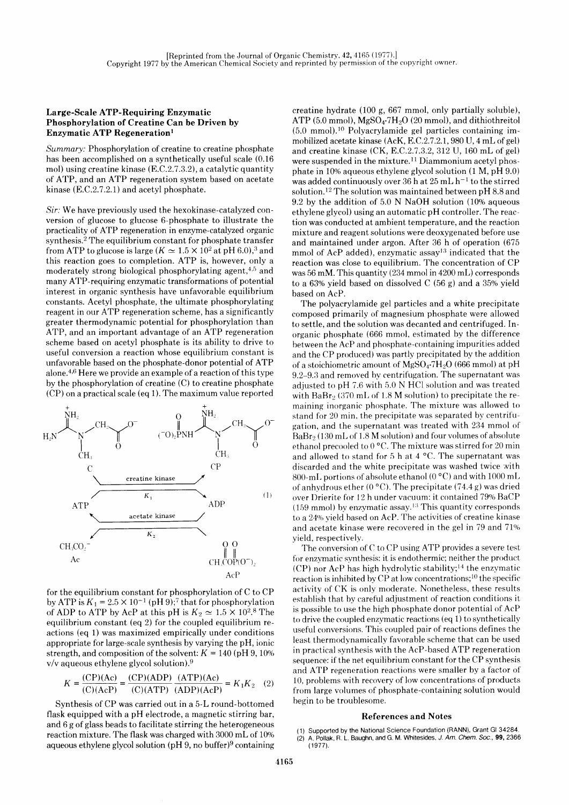## Large-Scale ATP-Requiring Enzymatic Phosphorylation of Creatine Can be Driven by Enzymatic ATP Regeneration<sup>1</sup>

Summary: Phosphorylation of creatine to creatine phosphate has been accomplished on a synthetically useful scale (0.16 mol) using creatine kinase  $(E.C.2.7.3.2)$ , a catalytic quantity of ATP, and an ATP regeneration system based on acetate kinase  $(E.C.2.7.2.1)$  and acetyl phosphate.

Sir: We have previously used the hexokinase-catalyzed conversion of glucose to glucose G-phosphate to illustrate the practicality of ATP regeneration in enzyme-catalyzed organic synthesis.2 The equilibrium constant for phosphate transfer from ATP to glucose is large ( $K \approx 1.5 \times 10^2$  at pH 6.0),<sup>3</sup> and this reaction goes to completion. ATP is, however, only a moderately strong biological phosphorylating agent, $4.5$  and many ATP-requiring enzymatic transformations of potential interest in organic synthesis have unfavorable equilibrium constants. Acetyl phosphate, the ultimate phosphorylating reagent in our ATP regeneration scheme, has a significantly greater thermodynamic potential for phosphorylation than ATP, and an important advantage of an ATP regeneration scheme based on acetyl phosphate is its ability to drive to useful conversion a reaction whose equilibrium constant is unfavorable based on the phosphate-donor potential of ATP alone.<sup>4,6</sup> Here we provide an example of a reaction of this type by the phosphorylation of creatine (C) to creatine phosphate (CP) on a practical scale (eq 1). The maximum value reported



for the equilibrium constant for phosphorylation of C to CP by ATP is  $K_1 = 2.5 \times 10^{-1}$  (pH 9);<sup>7</sup> that for phosphorylation of ADP to ATP by AcP at this pH is  $K_2 \simeq 1.5 \times 10^{2.8}$  The equilibrium constant (eq 2) for the coupled equilibrium reactions (eq 1) was maximized empirically under conditions appropriate for large-scale synthesis by varying the pH, ionic strength, and composition of the solvent:  $K = 140$  (pH 9, 10%)  $v/v$  aqueous ethylene glycol solution).<sup>9</sup>

$$
K = \frac{(CP)(Ac)}{(C)(AcP)} = \frac{(CP)(ADP)}{(C)(ATP)} \frac{(ATP)(Ac)}{(ADP)(AcP)} = K_1K_2
$$
 (2)

Synthesis of CP was carried out in a 5-L round-bottomed flask equipped with a pH electrode, a magnetic stirring bar, and 6 g of glass beads to facilitate stirring the heterogeneous reaction mixture. The flask was charged with  $3000 \text{ mL of } 10\%$ aqueous ethylene glycol solution (pH  $9$ , no buffer) $9$  containing

creatine hydrate (100 g, 667 mmol, only partially soluble), ATP (5.0 mmol),  $MgSO_4$ -7 $H_2O$  (20 mmol), and dithiothreitol  $(5.0 \text{ mmol})$ .<sup>10</sup> Polyacrylamide gel particles containing immobilized acetate kinase (AcK, 8.C.2.7 .2.1, 980 U, 4 mL of gel) and creatine kinase (CK, E.C.2.7.3.2, 312 U, 160 mL of gel) were suspended in the mixture.<sup>11</sup> Diammonium acetyl phosphate in 10% aqueous ethylene glycol solution (1 M, pH 9.0) was added continuously over 36 h at 25 mL  $h^{-1}$  to the stirred solution.<sup>12</sup> The solution was maintained between  $pH 8.8$  and 9.2 by the addition of 5.0 N NaOH solution  $(10\%$  aqueous ethylene glycol) using an automatic pH controller. The reaction was conducted at ambient temperature, and the reaction mixture and reagent solutions were deoxygenated before use and maintained under argon. After 36 h of operation (675 mmol of AcP added), enzymatic assay<sup>13</sup> indicated that the reaction was close to equilibrium. The concentration of CP was 56 mM. This quantity (234 mmol in 4200 mL) corresponds to a 63% yield based on dissolved C (56 g) and a 35% yield based on AcP.

The polyacrylamide gel particles and a white precipitate composed primarily of magnesium phosphate were allowed to settle, and the solution was decanted and centrifuged. Inorganic phosphate (666 mmol, estimated by the difference between the AcP and phosphate-containing impurities added and the CP produced) was partly precipitated by the addition of a stoichiometric amount of  $MgSO_4$ -7H<sub>2</sub>O (666 mmol) at pH 9.2-9.3 and removed by centrifugation. The supernatant was adjusted to pH 7.6 with 5.0 N HCI solution and was treated with  $BaBr<sub>2</sub>$  (370 mL of 1.8 M solution) to precipitate the remaining inorganic phosphate. The mixture was allowed to stand for 20 min, the precipitate was separated by centrifugation, and the supernatant was treated with 234 mmol of'  $BaBr<sub>2</sub>$  (130 mL of 1.8 M solution) and four volumes of absolute ethanol precooled to  $0^{\circ}$ C. The mixture was stirred for 20 min and allowed to stand for 5 h at 4  $^{\circ}$ C. The supernatant was discarded and the white precipitate was washed twice with 800-mL portions of absolute ethanol (0  $^{\circ}$ C) and with 1000 mL of anhydrous ether (0 °C). The precipitate (74.4 g) was dried over Drierite for 12 h under vacuum: it contained 79% BaCP (159 mmol) by enzymatic assay.<sup>13</sup> This quantity corresponds to a 24% yield based on AcP. The activities of creatine kinase and acetate kinase were recovered in the gel in 79 and 71% yield, respectively.

The conversion of C to CP using ATP provides a severe test for enzymatic synthesis: it is endothermic; neither the product (CP) nor AcP has high hydrolytic stability;<sup>14</sup> the enzymatic reaction is inhibited by CP at low concentrations;<sup>10</sup> the specific activity of CK is only moderate. Nonetheless, these results establish that by careful adjustment of reaction conditions it is possible to use the high phosphate donor potential of AcP to drive the coupled enzymatic reactions (eq 1) to synthetically useful conversions. This coupled pair of reactions defines the least thermodynamically favorable scheme that can be used in practical synthesis with the AcP-based A'fP regeneration sequence: if the net equilibrium constant for the CP synthesis and ATP regeneration reactions were smaller by a factor of 10, problems with recoverv of low concentrations of products from large volumes of phosphate-containing solution would begin to be troublesome.

## References and Notes

(1) Supported by the National Science Foundation (RANN), Grant Gl 34284. A. Pollak, R. L. Baughn, and G. M. Whitesides, J. Am. Chem. Soc., 99, 2366 (1977\.